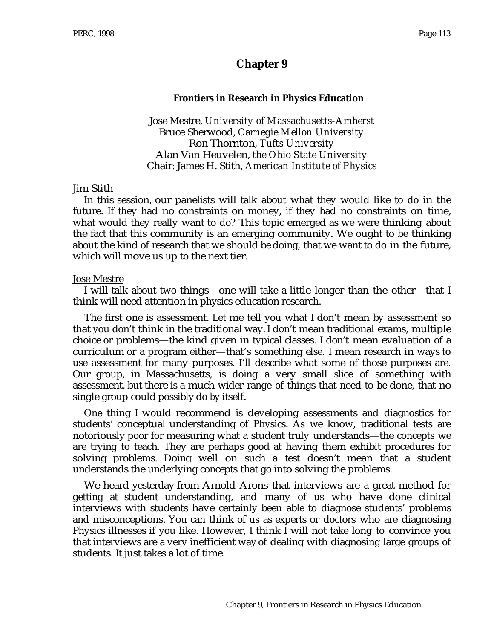# **Chapter 9**

#### **Frontiers in Research in Physics Education**

Jose Mestre, *University of Massachusetts-Amherst* Bruce Sherwood, *Carnegie Mellon University* Ron Thornton, *Tufts University* Alan Van Heuvelen, *the Ohio State University* Chair: James H. Stith, *American Institute of Physics*

#### Jim Stith

In this session, our panelists will talk about what they would like to do in the future. If they had no constraints on money, if they had no constraints on time, what would they really want to do? This topic emerged as we were thinking about the fact that this community is an emerging community. We ought to be thinking about the kind of research that we should be doing, that we want to do in the future, which will move us up to the next tier.

#### Jose Mestre

I will talk about two things—one will take a little longer than the other—that I think will need attention in physics education research.

The first one is assessment. Let me tell you what I don't mean by assessment so that you don't think in the traditional way. I don't mean traditional exams, multiple choice or problems—the kind given in typical classes. I don't mean evaluation of a curriculum or a program either—that's something else. I mean research in ways to use assessment for many purposes. I'll describe what some of those purposes are. Our group, in Massachusetts, is doing a very small slice of something with assessment, but there is a much wider range of things that need to be done, that no single group could possibly do by itself.

One thing I would recommend is developing assessments and diagnostics for students' conceptual understanding of Physics. As we know, traditional tests are notoriously poor for measuring what a student truly understands—the concepts we are trying to teach. They are perhaps good at having them exhibit procedures for solving problems. Doing well on such a test doesn't mean that a student understands the underlying concepts that go into solving the problems.

We heard yesterday from Arnold Arons that interviews are a great method for getting at student understanding, and many of us who have done clinical interviews with students have certainly been able to diagnose students' problems and misconceptions. You can think of us as experts or doctors who are diagnosing Physics illnesses if you like. However, I think I will not take long to convince you that interviews are a very inefficient way of dealing with diagnosing large groups of students. It just takes a lot of time.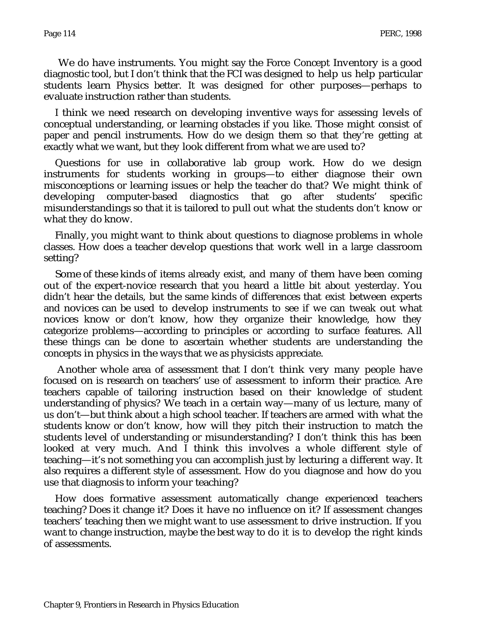We do have instruments. You might say the Force Concept Inventory is a good diagnostic tool, but I don't think that the FCI was designed to help us help particular students learn Physics better. It was designed for other purposes—perhaps to evaluate instruction rather than students.

I think we need research on developing inventive ways for assessing levels of conceptual understanding, or learning obstacles if you like. Those might consist of paper and pencil instruments. How do we design them so that they're getting at exactly what we want, but they look different from what we are used to?

Questions for use in collaborative lab group work. How do we design instruments for students working in groups—to either diagnose their own misconceptions or learning issues or help the teacher do that? We might think of developing computer-based diagnostics that go after students' specific misunderstandings so that it is tailored to pull out what the students don't know or what they do know.

Finally, you might want to think about questions to diagnose problems in whole classes. How does a teacher develop questions that work well in a large classroom setting?

Some of these kinds of items already exist, and many of them have been coming out of the expert-novice research that you heard a little bit about yesterday. You didn't hear the details, but the same kinds of differences that exist between experts and novices can be used to develop instruments to see if we can tweak out what novices know or don't know, how they organize their knowledge, how they categorize problems—according to principles or according to surface features. All these things can be done to ascertain whether students are understanding the concepts in physics in the ways that we as physicists appreciate.

Another whole area of assessment that I don't think very many people have focused on is research on teachers' use of assessment to inform their practice. Are teachers capable of tailoring instruction based on their knowledge of student understanding of physics? We teach in a certain way—many of us lecture, many of us don't—but think about a high school teacher. If teachers are armed with what the students know or don't know, how will they pitch their instruction to match the students level of understanding or misunderstanding? I don't think this has been looked at very much. And I think this involves a whole different style of teaching—it's not something you can accomplish just by lecturing a different way. It also requires a different style of assessment. How do you diagnose and how do you use that diagnosis to inform your teaching?

How does formative assessment automatically change experienced teachers teaching? Does it change it? Does it have no influence on it? If assessment changes teachers' teaching then we might want to use assessment to drive instruction. If you want to change instruction, maybe the best way to do it is to develop the right kinds of assessments.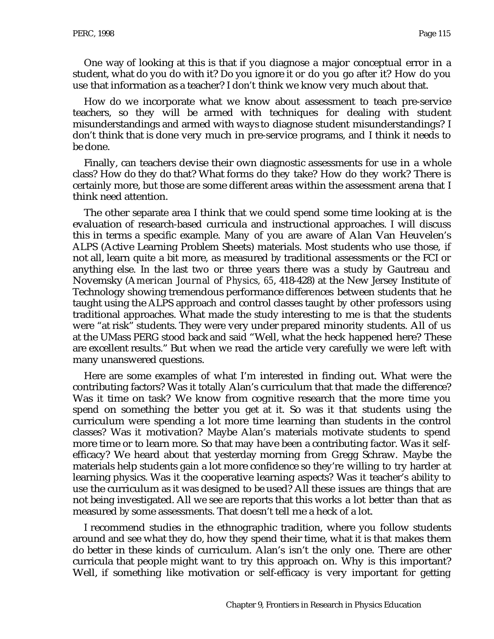One way of looking at this is that if you diagnose a major conceptual error in a student, what do you do with it? Do you ignore it or do you go after it? How do you use that information as a teacher? I don't think we know very much about that.

How do we incorporate what we know about assessment to teach pre-service teachers, so they will be armed with techniques for dealing with student misunderstandings and armed with ways to diagnose student misunderstandings? I don't think that is done very much in pre-service programs, and I think it needs to be done.

Finally, can teachers devise their own diagnostic assessments for use in a whole class? How do they do that? What forms do they take? How do they work? There is certainly more, but those are some different areas within the assessment arena that I think need attention.

The other separate area I think that we could spend some time looking at is the evaluation of research-based curricula and instructional approaches. I will discuss this in terms a specific example. Many of you are aware of Alan Van Heuvelen's ALPS (Active Learning Problem Sheets) materials. Most students who use those, if not all, learn quite a bit more, as measured by traditional assessments or the FCI or anything else. In the last two or three years there was a study by Gautreau and Novemsky (*American Journal of Physics, 65*, 418-428) at the New Jersey Institute of Technology showing tremendous performance differences between students that he taught using the ALPS approach and control classes taught by other professors using traditional approaches. What made the study interesting to me is that the students were "at risk" students. They were very under prepared minority students. All of us at the UMass PERG stood back and said "Well, what the heck happened here? These are excellent results." But when we read the article very carefully we were left with many unanswered questions.

Here are some examples of what I'm interested in finding out. What were the contributing factors? Was it totally Alan's curriculum that that made the difference? Was it time on task? We know from cognitive research that the more time you spend on something the better you get at it. So was it that students using the curriculum were spending a lot more time learning than students in the control classes? Was it motivation? Maybe Alan's materials motivate students to spend more time or to learn more. So that may have been a contributing factor. Was it selfefficacy? We heard about that yesterday morning from Gregg Schraw. Maybe the materials help students gain a lot more confidence so they're willing to try harder at learning physics. Was it the cooperative learning aspects? Was it teacher's ability to use the curriculum as it was designed to be used? All these issues are things that are not being investigated. All we see are reports that this works a lot better than that as measured by some assessments. That doesn't tell me a heck of a lot.

I recommend studies in the ethnographic tradition, where you follow students around and see what they do, how they spend their time, what it is that makes them do better in these kinds of curriculum. Alan's isn't the only one. There are other curricula that people might want to try this approach on. Why is this important? Well, if something like motivation or self-efficacy is very important for getting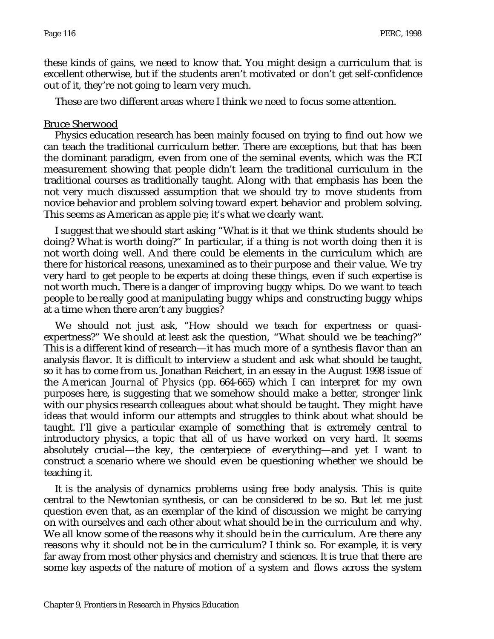these kinds of gains, we need to know that. You might design a curriculum that is excellent otherwise, but if the students aren't motivated or don't get self-confidence out of it, they're not going to learn very much.

These are two different areas where I think we need to focus some attention.

#### Bruce Sherwood

Physics education research has been mainly focused on trying to find out how we can teach the traditional curriculum better. There are exceptions, but that has been the dominant paradigm, even from one of the seminal events, which was the FCI measurement showing that people didn't learn the traditional curriculum in the traditional courses as traditionally taught. Along with that emphasis has been the not very much discussed assumption that we should try to move students from novice behavior and problem solving toward expert behavior and problem solving. This seems as American as apple pie; it's what we clearly want.

I suggest that we should start asking "What is it that we think students should be doing? What is worth doing?" In particular, if a thing is not worth doing then it is not worth doing well. And there could be elements in the curriculum which are there for historical reasons, unexamined as to their purpose and their value. We try very hard to get people to be experts at doing these things, even if such expertise is not worth much. There is a danger of improving buggy whips. Do we want to teach people to be really good at manipulating buggy whips and constructing buggy whips at a time when there aren't any buggies?

We should not just ask, "How should we teach for expertness or quasiexpertness?" We should at least ask the question, "What should we be teaching?" This is a different kind of research—it has much more of a synthesis flavor than an analysis flavor. It is difficult to interview a student and ask what should be taught, so it has to come from us. Jonathan Reichert, in an essay in the August 1998 issue of the *American Journal of Physics* (pp. 664-665) which I can interpret for my own purposes here, is suggesting that we somehow should make a better, stronger link with our physics research colleagues about what should be taught. They might have ideas that would inform our attempts and struggles to think about what should be taught. I'll give a particular example of something that is extremely central to introductory physics, a topic that all of us have worked on very hard. It seems absolutely crucial—the key, the centerpiece of everything—and yet I want to construct a scenario where we should even be questioning whether we should be teaching it.

It is the analysis of dynamics problems using free body analysis. This is quite central to the Newtonian synthesis, or can be considered to be so. But let me just question even that, as an exemplar of the kind of discussion we might be carrying on with ourselves and each other about what should be in the curriculum and why. We all know some of the reasons why it should be in the curriculum. Are there any reasons why it should not be in the curriculum? I think so. For example, it is very far away from most other physics and chemistry and sciences. It is true that there are some key aspects of the nature of motion of a system and flows across the system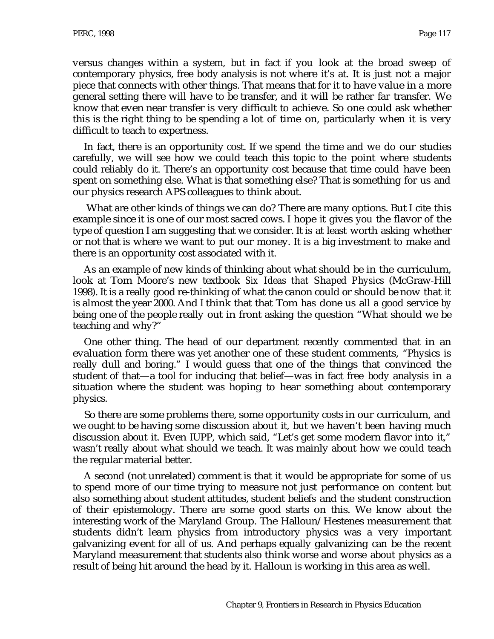versus changes within a system, but in fact if you look at the broad sweep of contemporary physics, free body analysis is not where it's at. It is just not a major piece that connects with other things. That means that for it to have value in a more general setting there will have to be transfer, and it will be rather far transfer. We know that even near transfer is very difficult to achieve. So one could ask whether this is the right thing to be spending a lot of time on, particularly when it is very difficult to teach to expertness.

In fact, there is an opportunity cost. If we spend the time and we do our studies carefully, we will see how we could teach this topic to the point where students could reliably do it. There's an opportunity cost because that time could have been spent on something else. What is that something else? That is something for us and our physics research APS colleagues to think about.

What are other kinds of things we can do? There are many options. But I cite this example since it is one of our most sacred cows. I hope it gives you the flavor of the type of question I am suggesting that we consider. It is at least worth asking whether or not that is where we want to put our money. It is a big investment to make and there is an opportunity cost associated with it.

As an example of new kinds of thinking about what should be in the curriculum, look at Tom Moore's new textbook *Six Ideas that Shaped Physics* (McGraw-Hill 1998). It is a really good re-thinking of what the canon could or should be now that it is almost the year 2000. And I think that that Tom has done us all a good service by being one of the people really out in front asking the question "What should we be teaching and why?"

One other thing. The head of our department recently commented that in an evaluation form there was yet another one of these student comments, "Physics is really dull and boring." I would guess that one of the things that convinced the student of that—a tool for inducing that belief—was in fact free body analysis in a situation where the student was hoping to hear something about contemporary physics.

So there are some problems there, some opportunity costs in our curriculum, and we ought to be having some discussion about it, but we haven't been having much discussion about it. Even IUPP, which said, "Let's get some modern flavor into it," wasn't really about what should we teach. It was mainly about how we could teach the regular material better.

A second (not unrelated) comment is that it would be appropriate for some of us to spend more of our time trying to measure not just performance on content but also something about student attitudes, student beliefs and the student construction of their epistemology. There are some good starts on this. We know about the interesting work of the Maryland Group. The Halloun/Hestenes measurement that students didn't learn physics from introductory physics was a very important galvanizing event for all of us. And perhaps equally galvanizing can be the recent Maryland measurement that students also think worse and worse about physics as a result of being hit around the head by it. Halloun is working in this area as well.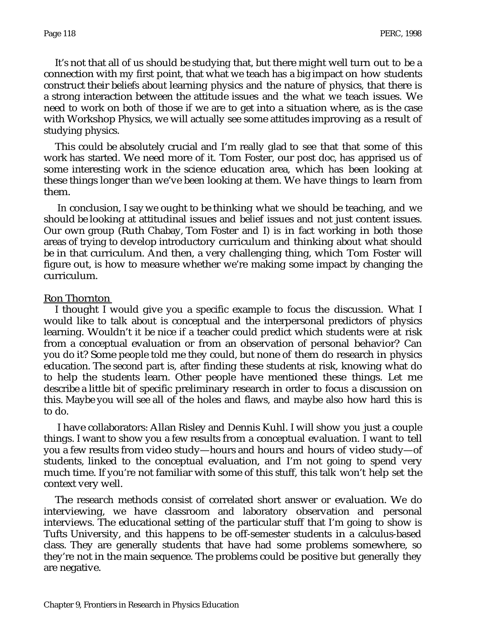It's not that all of us should be studying that, but there might well turn out to be a connection with my first point, that what we teach has a big impact on how students construct their beliefs about learning physics and the nature of physics, that there is a strong interaction between the attitude issues and the what we teach issues. We need to work on both of those if we are to get into a situation where, as is the case with Workshop Physics, we will actually see some attitudes improving as a result of studying physics.

This could be absolutely crucial and I'm really glad to see that that some of this work has started. We need more of it. Tom Foster, our post doc, has apprised us of some interesting work in the science education area, which has been looking at these things longer than we've been looking at them. We have things to learn from them.

In conclusion, I say we ought to be thinking what we should be teaching, and we should be looking at attitudinal issues and belief issues and not just content issues. Our own group (Ruth Chabay, Tom Foster and I) is in fact working in both those areas of trying to develop introductory curriculum and thinking about what should be in that curriculum. And then, a very challenging thing, which Tom Foster will figure out, is how to measure whether we're making some impact by changing the curriculum.

#### Ron Thornton

I thought I would give you a specific example to focus the discussion. What I would like to talk about is conceptual and the interpersonal predictors of physics learning. Wouldn't it be nice if a teacher could predict which students were at risk from a conceptual evaluation or from an observation of personal behavior? Can you do it? Some people told me they could, but none of them do research in physics education. The second part is, after finding these students at risk, knowing what do to help the students learn. Other people have mentioned these things. Let me describe a little bit of specific preliminary research in order to focus a discussion on this. Maybe you will see all of the holes and flaws, and maybe also how hard this is to do.

I have collaborators: Allan Risley and Dennis Kuhl. I will show you just a couple things. I want to show you a few results from a conceptual evaluation. I want to tell you a few results from video study—hours and hours and hours of video study—of students, linked to the conceptual evaluation, and I'm not going to spend very much time. If you're not familiar with some of this stuff, this talk won't help set the context very well.

The research methods consist of correlated short answer or evaluation. We do interviewing, we have classroom and laboratory observation and personal interviews. The educational setting of the particular stuff that I'm going to show is Tufts University, and this happens to be off-semester students in a calculus-based class. They are generally students that have had some problems somewhere, so they're not in the main sequence. The problems could be positive but generally they are negative.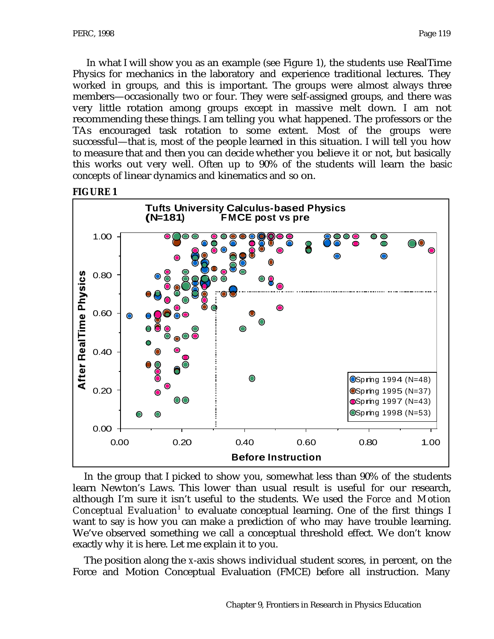In what I will show you as an example (see Figure 1), the students use RealTime Physics for mechanics in the laboratory and experience traditional lectures. They worked in groups, and this is important. The groups were almost always three members—occasionally two or four. They were self-assigned groups, and there was very little rotation among groups except in massive melt down. I am not recommending these things. I am telling you what happened. The professors or the TAs encouraged task rotation to some extent. Most of the groups were successful—that is, most of the people learned in this situation. I will tell you how to measure that and then you can decide whether you believe it or not, but basically this works out very well. Often up to 90% of the students will learn the basic concepts of linear dynamics and kinematics and so on.





In the group that I picked to show you, somewhat less than 90% of the students learn Newton's Laws. This lower than usual result is useful for our research, although I'm sure it isn't useful to the students. We used the *Force and Motion* Conceptual Evaluation<sup>1</sup> to evaluate conceptual learning. One of the first things I want to say is how you can make a prediction of who may have trouble learning. We've observed something we call a conceptual threshold effect. We don't know exactly why it is here. Let me explain it to you.

The position along the *x*-axis shows individual student scores, in percent, on the Force and Motion Conceptual Evaluation (FMCE) before all instruction. Many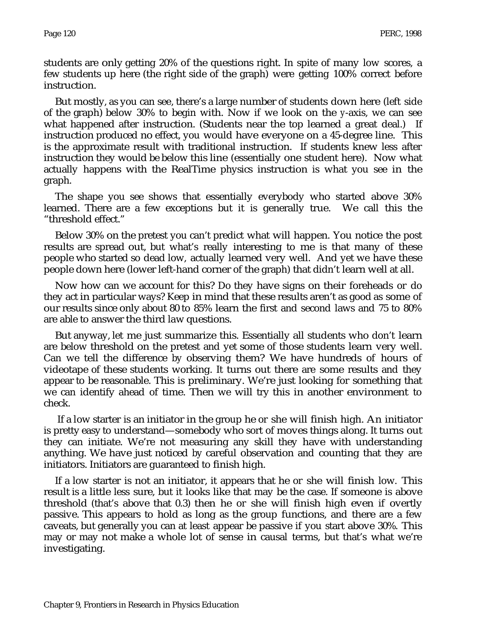students are only getting 20% of the questions right. In spite of many low scores, a few students up here (the right side of the graph) were getting 100% correct before instruction.

But mostly, as you can see, there's a large number of students down here (left side of the graph) below 30% to begin with. Now if we look on the *y*-axis, we can see what happened after instruction. (Students near the top learned a great deal.) If instruction produced no effect, you would have everyone on a 45-degree line. This is the approximate result with traditional instruction. If students knew less after instruction they would be below this line (essentially one student here). Now what actually happens with the RealTime physics instruction is what you see in the graph.

The shape you see shows that essentially everybody who started above 30% learned. There are a few exceptions but it is generally true. We call this the "threshold effect."

Below 30% on the pretest you can't predict what will happen. You notice the post results are spread out, but what's really interesting to me is that many of these people who started so dead low, actually learned very well. And yet we have these people down here (lower left-hand corner of the graph) that didn't learn well at all.

Now how can we account for this? Do they have signs on their foreheads or do they act in particular ways? Keep in mind that these results aren't as good as some of our results since only about 80 to 85% learn the first and second laws and 75 to 80% are able to answer the third law questions.

But anyway, let me just summarize this. Essentially all students who don't learn are below threshold on the pretest and yet some of those students learn very well. Can we tell the difference by observing them? We have hundreds of hours of videotape of these students working. It turns out there are some results and they appear to be reasonable. This is preliminary. We're just looking for something that we can identify ahead of time. Then we will try this in another environment to check.

If a low starter is an initiator in the group he or she will finish high. An initiator is pretty easy to understand—somebody who sort of moves things along. It turns out they can initiate. We're not measuring any skill they have with understanding anything. We have just noticed by careful observation and counting that they are initiators. Initiators are guaranteed to finish high.

If a low starter is not an initiator, it appears that he or she will finish low. This result is a little less sure, but it looks like that may be the case. If someone is above threshold (that's above that 0.3) then he or she will finish high even if overtly passive. This appears to hold as long as the group functions, and there are a few caveats, but generally you can at least appear be passive if you start above 30%. This may or may not make a whole lot of sense in causal terms, but that's what we're investigating.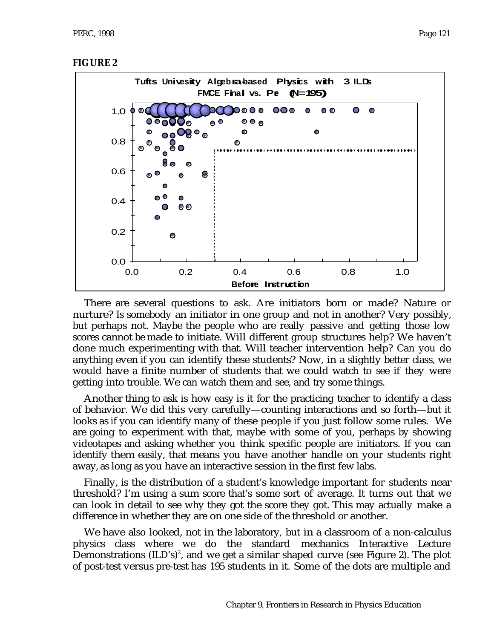

There are several questions to ask. Are initiators born or made? Nature or nurture? Is somebody an initiator in one group and not in another? Very possibly, but perhaps not. Maybe the people who are really passive and getting those low scores cannot be made to initiate. Will different group structures help? We haven't done much experimenting with that. Will teacher intervention help? Can you do anything even if you can identify these students? Now, in a slightly better class, we would have a finite number of students that we could watch to see if they were getting into trouble. We can watch them and see, and try some things.

Another thing to ask is how easy is it for the practicing teacher to identify a class of behavior. We did this very carefully—counting interactions and so forth—but it looks as if you can identify many of these people if you just follow some rules. We are going to experiment with that, maybe with some of you, perhaps by showing videotapes and asking whether you think specific people are initiators. If you can identify them easily, that means you have another handle on your students right away, as long as you have an interactive session in the first few labs.

Finally, is the distribution of a student's knowledge important for students near threshold? I'm using a sum score that's some sort of average. It turns out that we can look in detail to see why they got the score they got. This may actually make a difference in whether they are on one side of the threshold or another.

We have also looked, not in the laboratory, but in a classroom of a non-calculus physics class where we do the standard mechanics Interactive Lecture Demonstrations  $(\mathrm{ILD's})^{\scriptscriptstyle{2}},$  and we get a similar shaped curve (see Figure 2). The plot of post-test versus pre-test has 195 students in it. Some of the dots are multiple and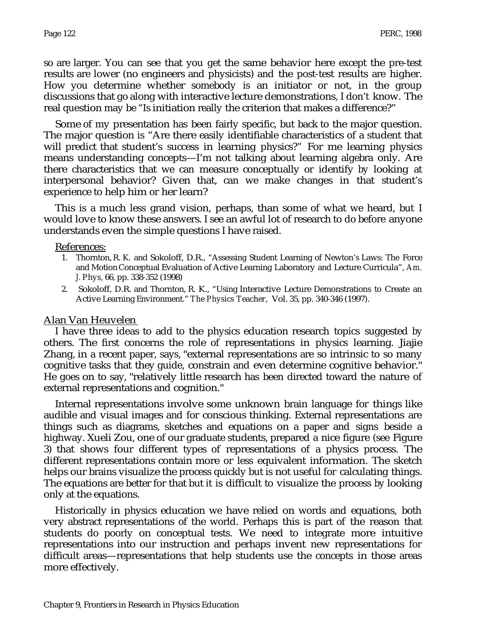so are larger. You can see that you get the same behavior here except the pre-test results are lower (no engineers and physicists) and the post-test results are higher. How you determine whether somebody is an initiator or not, in the group discussions that go along with interactive lecture demonstrations, I don't know. The real question may be "Is initiation really the criterion that makes a difference?"

Some of my presentation has been fairly specific, but back to the major question. The major question is "Are there easily identifiable characteristics of a student that will predict that student's success in learning physics?" For me learning physics means understanding concepts—I'm not talking about learning algebra only. Are there characteristics that we can measure conceptually or identify by looking at interpersonal behavior? Given that, can we make changes in that student's experience to help him or her learn?

This is a much less grand vision, perhaps, than some of what we heard, but I would love to know these answers. I see an awful lot of research to do before anyone understands even the simple questions I have raised.

References:

- 1. Thornton, R. K. and Sokoloff, D.R., "Assessing Student Learning of Newton's Laws: The Force and Motion Conceptual Evaluation of Active Learning Laboratory and Lecture Curricula", *Am. J. Phys*, 66, pp. 338-352 (1998)
- 2. Sokoloff, D.R. and Thornton, R. K., "Using Interactive Lecture Demonstrations to Create an Active Learning Environment." *The Physics Teacher,* Vol. 35, pp. 340-346 (1997).

#### Alan Van Heuvelen

I have three ideas to add to the physics education research topics suggested by others. The first concerns the role of representations in physics learning. Jiajie Zhang, in a recent paper, says, "external representations are so intrinsic to so many cognitive tasks that they guide, constrain and even determine cognitive behavior." He goes on to say, "relatively little research has been directed toward the nature of external representations and cognition."

Internal representations involve some unknown brain language for things like audible and visual images and for conscious thinking. External representations are things such as diagrams, sketches and equations on a paper and signs beside a highway. Xueli Zou, one of our graduate students, prepared a nice figure (see Figure 3) that shows four different types of representations of a physics process. The different representations contain more or less equivalent information. The sketch helps our brains visualize the process quickly but is not useful for calculating things. The equations are better for that but it is difficult to visualize the process by looking only at the equations.

Historically in physics education we have relied on words and equations, both very abstract representations of the world. Perhaps this is part of the reason that students do poorly on conceptual tests. We need to integrate more intuitive representations into our instruction and perhaps invent new representations for difficult areas—representations that help students use the concepts in those areas more effectively.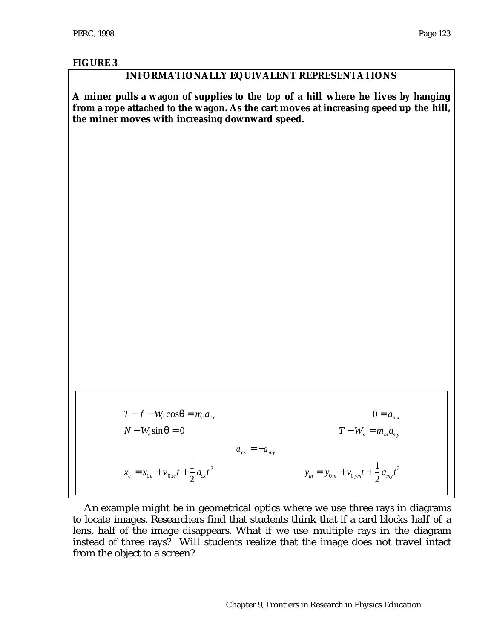### **FIGURE 3**

## **INFORMATIONALLY EQUIVALENT REPRESENTATIONS**

**A miner pulls a wagon of supplies to the top of a hill where he lives by hanging from a rope attached to the wagon. As the cart moves at increasing speed up the hill, the miner moves with increasing downward speed.**

 $T - f - W_c \cos \theta = m_c a_{cx}$  0 = *a<sub>mx</sub>*  $N - W_c \sin \theta = 0$  $T - W_m = m_m a_m$  $a_{cx} = -a_{my}$  $x_c = x_{0c} + v_{0xc}t +$ 1  $\frac{1}{2} a_{cx} t^2$  $y_m = y_{0m} + v_{0ym}t +$ 1  $\frac{1}{2}a_{\rm{my}}t^2$ 

An example might be in geometrical optics where we use three rays in diagrams to locate images. Researchers find that students think that if a card blocks half of a lens, half of the image disappears. What if we use multiple rays in the diagram instead of three rays? Will students realize that the image does not travel intact from the object to a screen?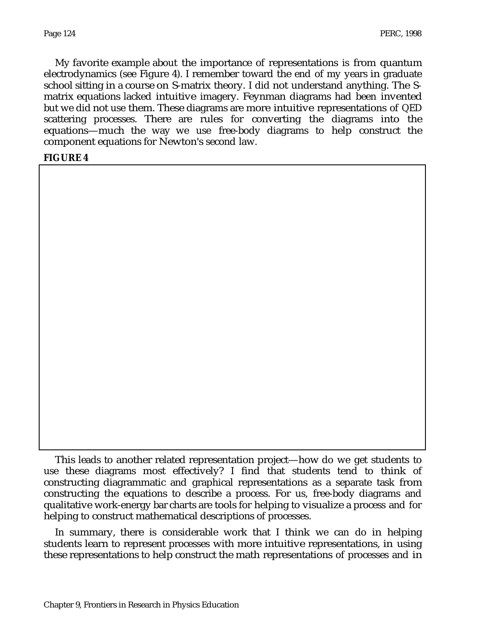My favorite example about the importance of representations is from quantum electrodynamics (see Figure 4). I remember toward the end of my years in graduate school sitting in a course on S-matrix theory. I did not understand anything. The Smatrix equations lacked intuitive imagery. Feynman diagrams had been invented but we did not use them. These diagrams are more intuitive representations of QED scattering processes. There are rules for converting the diagrams into the equations—much the way we use free-body diagrams to help construct the component equations for Newton's second law.

### **FIGURE 4**

This leads to another related representation project—how do we get students to use these diagrams most effectively? I find that students tend to think of constructing diagrammatic and graphical representations as a separate task from constructing the equations to describe a process. For us, free-body diagrams and qualitative work-energy bar charts are tools for helping to visualize a process and for helping to construct mathematical descriptions of processes.

In summary, there is considerable work that I think we can do in helping students learn to represent processes with more intuitive representations, in using these representations to help construct the math representations of processes and in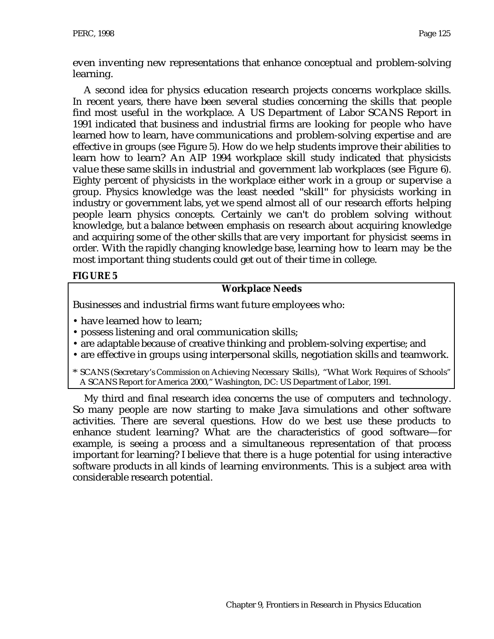even inventing new representations that enhance conceptual and problem-solving learning.

A second idea for physics education research projects concerns workplace skills. In recent years, there have been several studies concerning the skills that people find most useful in the workplace. A US Department of Labor SCANS Report in 1991 indicated that business and industrial firms are looking for people who have learned how to learn, have communications and problem-solving expertise and are effective in groups (see Figure 5). How do we help students improve their abilities to learn how to learn? An AIP 1994 workplace skill study indicated that physicists value these same skills in industrial and government lab workplaces (see Figure 6). Eighty percent of physicists in the workplace either work in a group or supervise a group. Physics knowledge was the least needed "skill" for physicists working in industry or government labs, yet we spend almost all of our research efforts helping people learn physics concepts. Certainly we can't do problem solving without knowledge, but a balance between emphasis on research about acquiring knowledge and acquiring some of the other skills that are very important for physicist seems in order. With the rapidly changing knowledge base, learning how to learn may be the most important thing students could get out of their time in college.

## **FIGURE 5**

## **Workplace Needs**

Businesses and industrial firms want future employees who:

- have learned how to learn;
- possess listening and oral communication skills;
- are adaptable because of creative thinking and problem-solving expertise; and
- are effective in groups using interpersonal skills, negotiation skills and teamwork.
- \* SCANS (Secretary's Commission on Achieving Necessary Skills), "What Work Requires of Schools" A SCANS Report for America 2000," Washington, DC: US Department of Labor, 1991.

My third and final research idea concerns the use of computers and technology. So many people are now starting to make Java simulations and other software activities. There are several questions. How do we best use these products to enhance student learning? What are the characteristics of good software—for example, is seeing a process and a simultaneous representation of that process important for learning? I believe that there is a huge potential for using interactive software products in all kinds of learning environments. This is a subject area with considerable research potential.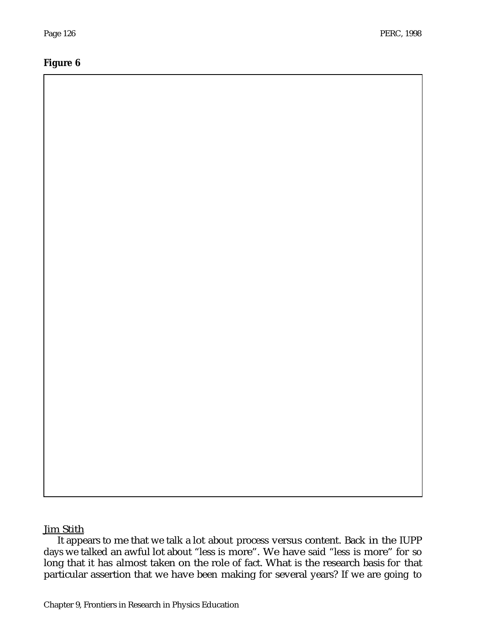### **Figure 6**

# **Jim Stith**

It appears to me that we talk a lot about process versus content. Back in the IUPP days we talked an awful lot about "less is more". We have said "less is more" for so long that it has almost taken on the role of fact. What is the research basis for that particular assertion that we have been making for several years? If we are going to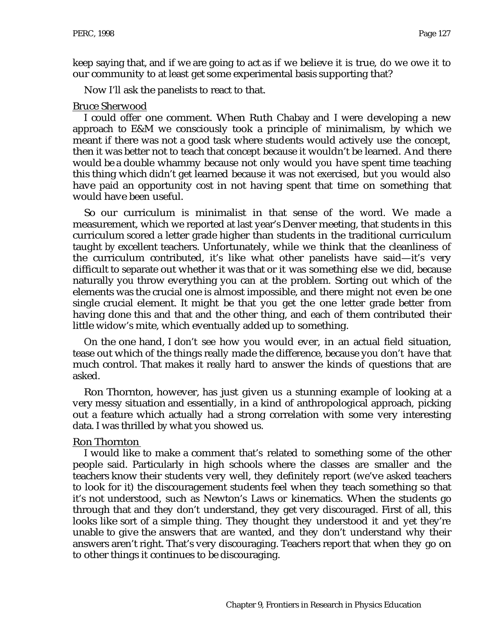keep saying that, and if we are going to act as if we believe it is true, do we owe it to our community to at least get some experimental basis supporting that?

Now I'll ask the panelists to react to that.

#### Bruce Sherwood

I could offer one comment. When Ruth Chabay and I were developing a new approach to E&M we consciously took a principle of minimalism, by which we meant if there was not a good task where students would actively use the concept, then it was better not to teach that concept because it wouldn't be learned. And there would be a double whammy because not only would you have spent time teaching this thing which didn't get learned because it was not exercised, but you would also have paid an opportunity cost in not having spent that time on something that would have been useful.

So our curriculum is minimalist in that sense of the word. We made a measurement, which we reported at last year's Denver meeting, that students in this curriculum scored a letter grade higher than students in the traditional curriculum taught by excellent teachers. Unfortunately, while we think that the cleanliness of the curriculum contributed, it's like what other panelists have said—it's very difficult to separate out whether it was that or it was something else we did, because naturally you throw everything you can at the problem. Sorting out which of the elements was the crucial one is almost impossible, and there might not even be one single crucial element. It might be that you get the one letter grade better from having done this and that and the other thing, and each of them contributed their little widow's mite, which eventually added up to something.

On the one hand, I don't see how you would ever, in an actual field situation, tease out which of the things really made the difference, because you don't have that much control. That makes it really hard to answer the kinds of questions that are asked.

Ron Thornton, however, has just given us a stunning example of looking at a very messy situation and essentially, in a kind of anthropological approach, picking out a feature which actually had a strong correlation with some very interesting data. I was thrilled by what you showed us.

#### Ron Thornton

I would like to make a comment that's related to something some of the other people said. Particularly in high schools where the classes are smaller and the teachers know their students very well, they definitely report (we've asked teachers to look for it) the discouragement students feel when they teach something so that it's not understood, such as Newton's Laws or kinematics. When the students go through that and they don't understand, they get very discouraged. First of all, this looks like sort of a simple thing. They thought they understood it and yet they're unable to give the answers that are wanted, and they don't understand why their answers aren't right. That's very discouraging. Teachers report that when they go on to other things it continues to be discouraging.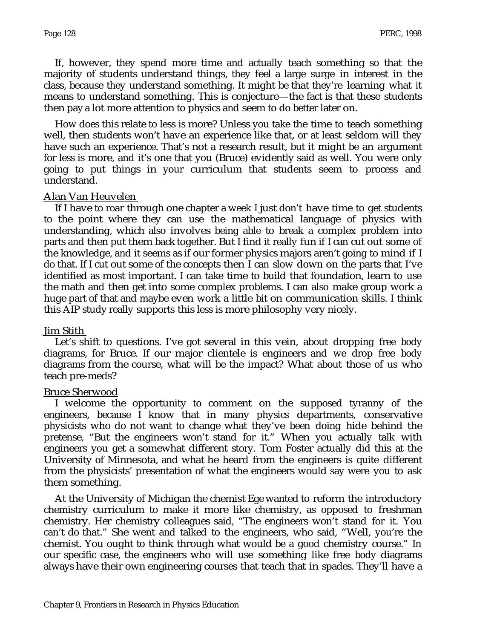If, however, they spend more time and actually teach something so that the majority of students understand things, they feel a large surge in interest in the class, because they understand something. It might be that they're learning what it means to understand something. This is conjecture—the fact is that these students then pay a lot more attention to physics and seem to do better later on.

How does this relate to less is more? Unless you take the time to teach something well, then students won't have an experience like that, or at least seldom will they have such an experience. That's not a research result, but it might be an argument for less is more, and it's one that you (Bruce) evidently said as well. You were only going to put things in your curriculum that students seem to process and understand.

### Alan Van Heuvelen

If I have to roar through one chapter a week I just don't have time to get students to the point where they can use the mathematical language of physics with understanding, which also involves being able to break a complex problem into parts and then put them back together. But I find it really fun if I can cut out some of the knowledge, and it seems as if our former physics majors aren't going to mind if I do that. If I cut out some of the concepts then I can slow down on the parts that I've identified as most important. I can take time to build that foundation, learn to use the math and then get into some complex problems. I can also make group work a huge part of that and maybe even work a little bit on communication skills. I think this AIP study really supports this less is more philosophy very nicely.

### Jim Stith

Let's shift to questions. I've got several in this vein, about dropping free body diagrams, for Bruce. If our major clientele is engineers and we drop free body diagrams from the course, what will be the impact? What about those of us who teach pre-meds?

### Bruce Sherwood

I welcome the opportunity to comment on the supposed tyranny of the engineers, because I know that in many physics departments, conservative physicists who do not want to change what they've been doing hide behind the pretense, "But the engineers won't stand for it." When you actually talk with engineers you get a somewhat different story. Tom Foster actually did this at the University of Minnesota, and what he heard from the engineers is quite different from the physicists' presentation of what the engineers would say were you to ask them something.

At the University of Michigan the chemist Ege wanted to reform the introductory chemistry curriculum to make it more like chemistry, as opposed to freshman chemistry. Her chemistry colleagues said, "The engineers won't stand for it. You can't do that." She went and talked to the engineers, who said, "Well, you're the chemist. You ought to think through what would be a good chemistry course." In our specific case, the engineers who will use something like free body diagrams always have their own engineering courses that teach that in spades. They'll have a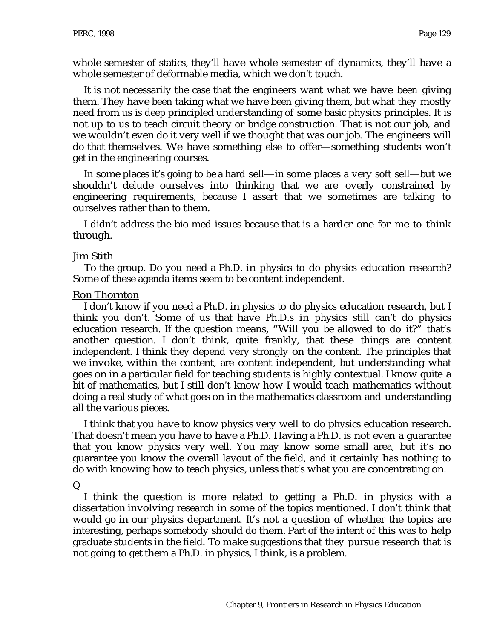whole semester of statics, they'll have whole semester of dynamics, they'll have a whole semester of deformable media, which we don't touch.

It is not necessarily the case that the engineers want what we have been giving them. They have been taking what we have been giving them, but what they mostly need from us is deep principled understanding of some basic physics principles. It is not up to us to teach circuit theory or bridge construction. That is not our job, and we wouldn't even do it very well if we thought that was our job. The engineers will do that themselves. We have something else to offer—something students won't get in the engineering courses.

In some places it's going to be a hard sell—in some places a very soft sell—but we shouldn't delude ourselves into thinking that we are overly constrained by engineering requirements, because I assert that we sometimes are talking to ourselves rather than to them.

I didn't address the bio-med issues because that is a harder one for me to think through.

### Jim Stith

To the group. Do you need a Ph.D. in physics to do physics education research? Some of these agenda items seem to be content independent.

### Ron Thornton

I don't know if you need a Ph.D. in physics to do physics education research, but I think you don't. Some of us that have Ph.D.s in physics still can't do physics education research. If the question means, "Will you be allowed to do it?" that's another question. I don't think, quite frankly, that these things are content independent. I think they depend very strongly on the content. The principles that we invoke, within the content, are content independent, but understanding what goes on in a particular field for teaching students is highly contextual. I know quite a bit of mathematics, but I still don't know how I would teach mathematics without doing a real study of what goes on in the mathematics classroom and understanding all the various pieces.

I think that you have to know physics very well to do physics education research. That doesn't mean you have to have a Ph.D. Having a Ph.D. is not even a guarantee that you know physics very well. You may know some small area, but it's no guarantee you know the overall layout of the field, and it certainly has nothing to do with knowing how to teach physics, unless that's what you are concentrating on.

 $\overline{Q}$ 

I think the question is more related to getting a Ph.D. in physics with a dissertation involving research in some of the topics mentioned. I don't think that would go in our physics department. It's not a question of whether the topics are interesting, perhaps somebody should do them. Part of the intent of this was to help graduate students in the field. To make suggestions that they pursue research that is not going to get them a Ph.D. in physics, I think, is a problem.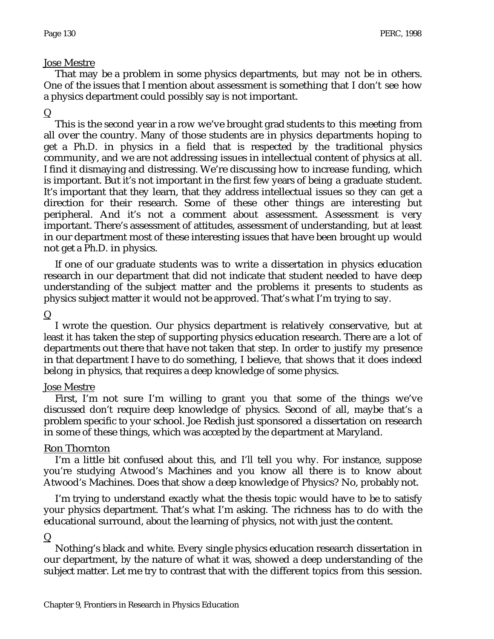### Jose Mestre

That may be a problem in some physics departments, but may not be in others. One of the issues that I mention about assessment is something that I don't see how a physics department could possibly say is not important.

## $\mathbf Q$

This is the second year in a row we've brought grad students to this meeting from all over the country. Many of those students are in physics departments hoping to get a Ph.D. in physics in a field that is respected by the traditional physics community, and we are not addressing issues in intellectual content of physics at all. I find it dismaying and distressing. We're discussing how to increase funding, which is important. But it's not important in the first few years of being a graduate student. It's important that they learn, that they address intellectual issues so they can get a direction for their research. Some of these other things are interesting but peripheral. And it's not a comment about assessment. Assessment is very important. There's assessment of attitudes, assessment of understanding, but at least in our department most of these interesting issues that have been brought up would not get a Ph.D. in physics.

If one of our graduate students was to write a dissertation in physics education research in our department that did not indicate that student needed to have deep understanding of the subject matter and the problems it presents to students as physics subject matter it would not be approved. That's what I'm trying to say.

## $\mathbf Q$

I wrote the question. Our physics department is relatively conservative, but at least it has taken the step of supporting physics education research. There are a lot of departments out there that have not taken that step. In order to justify my presence in that department I have to do something, I believe, that shows that it does indeed belong in physics, that requires a deep knowledge of some physics.

### Jose Mestre

First, I'm not sure I'm willing to grant you that some of the things we've discussed don't require deep knowledge of physics. Second of all, maybe that's a problem specific to your school. Joe Redish just sponsored a dissertation on research in some of these things, which was accepted by the department at Maryland.

## Ron Thornton

I'm a little bit confused about this, and I'll tell you why. For instance, suppose you're studying Atwood's Machines and you know all there is to know about Atwood's Machines. Does that show a deep knowledge of Physics? No, probably not.

I'm trying to understand exactly what the thesis topic would have to be to satisfy your physics department. That's what I'm asking. The richness has to do with the educational surround, about the learning of physics, not with just the content.

## $\mathbf Q$

Nothing's black and white. Every single physics education research dissertation in our department, by the nature of what it was, showed a deep understanding of the subject matter. Let me try to contrast that with the different topics from this session.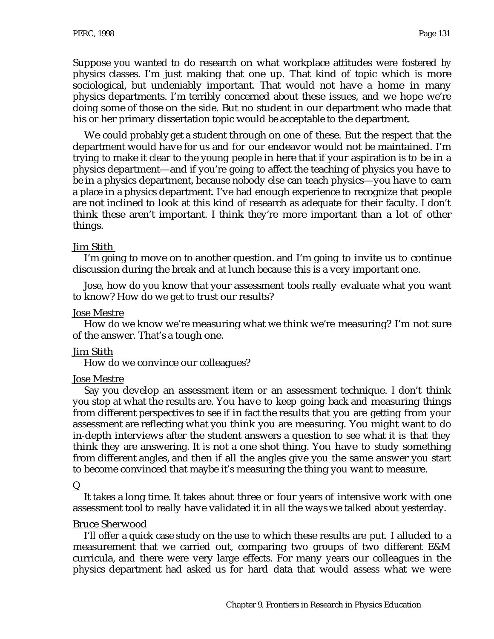Suppose you wanted to do research on what workplace attitudes were fostered by physics classes. I'm just making that one up. That kind of topic which is more sociological, but undeniably important. That would not have a home in many physics departments. I'm terribly concerned about these issues, and we hope we're doing some of those on the side. But no student in our department who made that his or her primary dissertation topic would be acceptable to the department.

We could probably get a student through on one of these. But the respect that the department would have for us and for our endeavor would not be maintained. I'm trying to make it clear to the young people in here that if your aspiration is to be in a physics department—and if you're going to affect the teaching of physics you have to be in a physics department, because nobody else can teach physics—you have to earn a place in a physics department. I've had enough experience to recognize that people are not inclined to look at this kind of research as adequate for their faculty. I don't think these aren't important. I think they're more important than a lot of other things.

### Jim Stith

I'm going to move on to another question. and I'm going to invite us to continue discussion during the break and at lunch because this is a very important one.

Jose, how do you know that your assessment tools really evaluate what you want to know? How do we get to trust our results?

### Jose Mestre

How do we know we're measuring what we think we're measuring? I'm not sure of the answer. That's a tough one.

### Jim Stith

How do we convince our colleagues?

### Jose Mestre

Say you develop an assessment item or an assessment technique. I don't think you stop at what the results are. You have to keep going back and measuring things from different perspectives to see if in fact the results that you are getting from your assessment are reflecting what you think you are measuring. You might want to do in-depth interviews after the student answers a question to see what it is that they think they are answering. It is not a one shot thing. You have to study something from different angles, and then if all the angles give you the same answer you start to become convinced that maybe it's measuring the thing you want to measure.

### $\overline{\mathsf{Q}}$

It takes a long time. It takes about three or four years of intensive work with one assessment tool to really have validated it in all the ways we talked about yesterday.

### Bruce Sherwood

I'll offer a quick case study on the use to which these results are put. I alluded to a measurement that we carried out, comparing two groups of two different E&M curricula, and there were very large effects. For many years our colleagues in the physics department had asked us for hard data that would assess what we were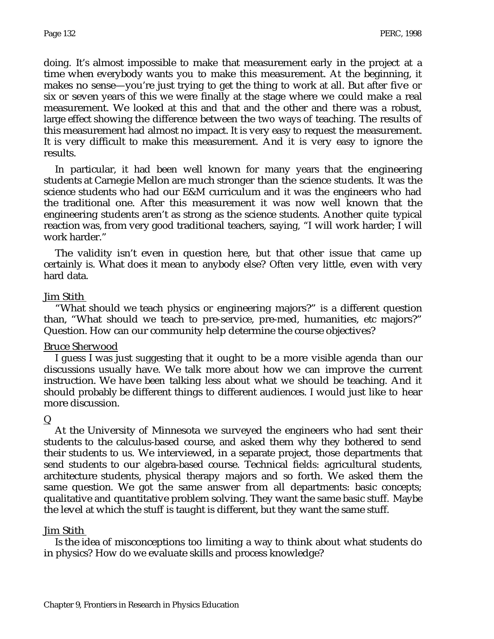doing. It's almost impossible to make that measurement early in the project at a time when everybody wants you to make this measurement. At the beginning, it makes no sense—you're just trying to get the thing to work at all. But after five or six or seven years of this we were finally at the stage where we could make a real measurement. We looked at this and that and the other and there was a robust, large effect showing the difference between the two ways of teaching. The results of this measurement had almost no impact. It is very easy to request the measurement. It is very difficult to make this measurement. And it is very easy to ignore the results.

In particular, it had been well known for many years that the engineering students at Carnegie Mellon are much stronger than the science students. It was the science students who had our E&M curriculum and it was the engineers who had the traditional one. After this measurement it was now well known that the engineering students aren't as strong as the science students. Another quite typical reaction was, from very good traditional teachers, saying, "I will work harder; I will work harder."

The validity isn't even in question here, but that other issue that came up certainly is. What does it mean to anybody else? Often very little, even with very hard data.

### Jim Stith

"What should we teach physics or engineering majors?" is a different question than, "What should we teach to pre-service, pre-med, humanities, etc majors?" Question. How can our community help determine the course objectives?

### Bruce Sherwood

I guess I was just suggesting that it ought to be a more visible agenda than our discussions usually have. We talk more about how we can improve the current instruction. We have been talking less about what we should be teaching. And it should probably be different things to different audiences. I would just like to hear more discussion.

### $\mathbf Q$

At the University of Minnesota we surveyed the engineers who had sent their students to the calculus-based course, and asked them why they bothered to send their students to us. We interviewed, in a separate project, those departments that send students to our algebra-based course. Technical fields: agricultural students, architecture students, physical therapy majors and so forth. We asked them the same question. We got the same answer from all departments: basic concepts; qualitative and quantitative problem solving. They want the same basic stuff. Maybe the level at which the stuff is taught is different, but they want the same stuff.

#### Jim Stith

Is the idea of misconceptions too limiting a way to think about what students do in physics? How do we evaluate skills and process knowledge?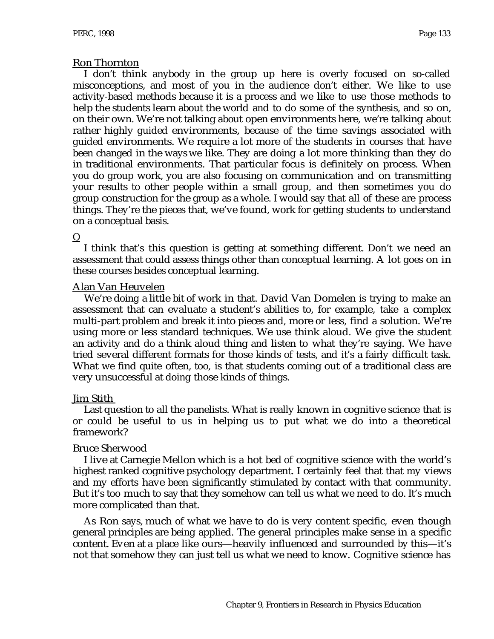### Ron Thornton

I don't think anybody in the group up here is overly focused on so-called misconceptions, and most of you in the audience don't either. We like to use activity-based methods because it is a process and we like to use those methods to help the students learn about the world and to do some of the synthesis, and so on, on their own. We're not talking about open environments here, we're talking about rather highly guided environments, because of the time savings associated with guided environments. We require a lot more of the students in courses that have been changed in the ways we like. They are doing a lot more thinking than they do in traditional environments. That particular focus is definitely on process. When you do group work, you are also focusing on communication and on transmitting your results to other people within a small group, and then sometimes you do group construction for the group as a whole. I would say that all of these are process things. They're the pieces that, we've found, work for getting students to understand on a conceptual basis.

### Q

I think that's this question is getting at something different. Don't we need an assessment that could assess things other than conceptual learning. A lot goes on in these courses besides conceptual learning.

### Alan Van Heuvelen

We're doing a little bit of work in that. David Van Domelen is trying to make an assessment that can evaluate a student's abilities to, for example, take a complex multi-part problem and break it into pieces and, more or less, find a solution. We're using more or less standard techniques. We use think aloud. We give the student an activity and do a think aloud thing and listen to what they're saying. We have tried several different formats for those kinds of tests, and it's a fairly difficult task. What we find quite often, too, is that students coming out of a traditional class are very unsuccessful at doing those kinds of things.

## Jim Stith

Last question to all the panelists. What is really known in cognitive science that is or could be useful to us in helping us to put what we do into a theoretical framework?

### Bruce Sherwood

I live at Carnegie Mellon which is a hot bed of cognitive science with the world's highest ranked cognitive psychology department. I certainly feel that that my views and my efforts have been significantly stimulated by contact with that community. But it's too much to say that they somehow can tell us what we need to do. It's much more complicated than that.

As Ron says, much of what we have to do is very content specific, even though general principles are being applied. The general principles make sense in a specific content. Even at a place like ours—heavily influenced and surrounded by this—it's not that somehow they can just tell us what we need to know. Cognitive science has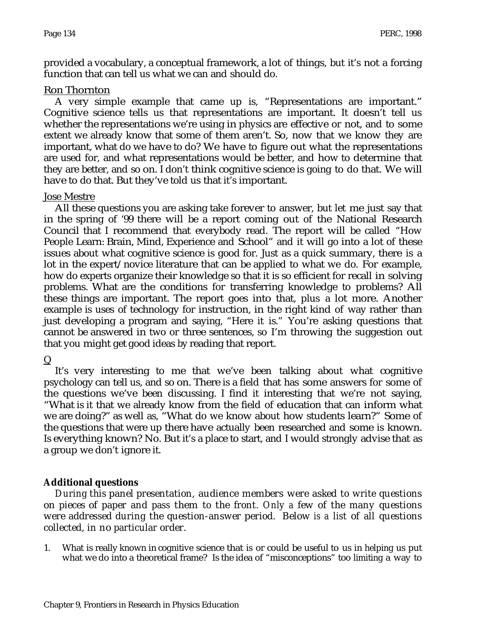provided a vocabulary, a conceptual framework, a lot of things, but it's not a forcing function that can tell us what we can and should do.

### Ron Thornton

A very simple example that came up is, "Representations are important." Cognitive science tells us that representations are important. It doesn't tell us whether the representations we're using in physics are effective or not, and to some extent we already know that some of them aren't. So, now that we know they are important, what do we have to do? We have to figure out what the representations are used for, and what representations would be better, and how to determine that they are better, and so on. I don't think cognitive science is going to do that. We will have to do that. But they've told us that it's important.

## Jose Mestre

All these questions you are asking take forever to answer, but let me just say that in the spring of '99 there will be a report coming out of the National Research Council that I recommend that everybody read. The report will be called "How People Learn: Brain, Mind, Experience and School" and it will go into a lot of these issues about what cognitive science is good for. Just as a quick summary, there is a lot in the expert/novice literature that can be applied to what we do. For example, how do experts organize their knowledge so that it is so efficient for recall in solving problems. What are the conditions for transferring knowledge to problems? All these things are important. The report goes into that, plus a lot more. Another example is uses of technology for instruction, in the right kind of way rather than just developing a program and saying, "Here it is." You're asking questions that cannot be answered in two or three sentences, so I'm throwing the suggestion out that you might get good ideas by reading that report.

## $\mathbf Q$

It's very interesting to me that we've been talking about what cognitive psychology can tell us, and so on. There is a field that has some answers for some of the questions we've been discussing. I find it interesting that we're not saying, "What is it that we already know from the field of education that can inform what we are doing?" as well as, "What do we know about how students learn?" Some of the questions that were up there have actually been researched and some is known. Is everything known? No. But it's a place to start, and I would strongly advise that as a group we don't ignore it.

## **Additional questions**

*During this panel presentation, audience members were asked to write questions on pieces of paper and pass them to the front. Only a few of the many questions were addressed during the question-answer period. Below is a list of all questions collected, in no particular order.*

1. What is really known in cognitive science that is or could be useful to us in helping us put what we do into a theoretical frame? Is the idea of "misconceptions" too limiting a way to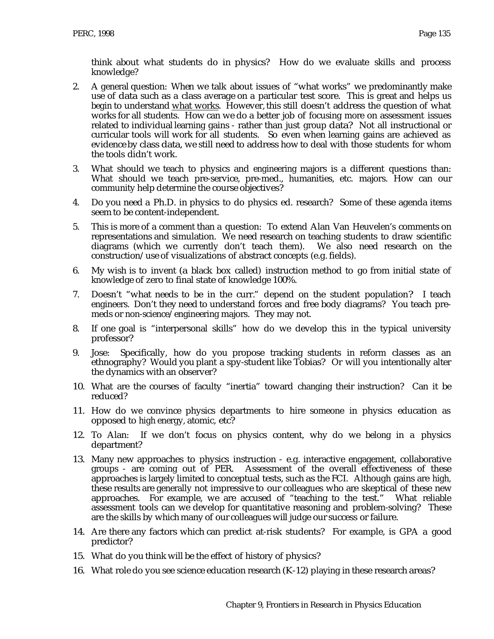think about what students do in physics? How do we evaluate skills and process knowledge?

- 2. A general question: When we talk about issues of "what works" we predominantly make use of data such as a class average on a particular test score. This is great and helps us begin to understand what works. However, this still doesn't address the question of what works for all students. How can we do a better job of focusing more on assessment issues related to individual learning gains - rather than just group data? Not all instructional or curricular tools will work for all students. So even when learning gains are achieved as evidence by class data, we still need to address how to deal with those students for whom the tools didn't work.
- 3. What should we teach to physics and engineering majors is a different questions than: What should we teach pre-service, pre-med., humanities, etc. majors. How can our community help determine the course objectives?
- 4. Do you need a Ph.D. in physics to do physics ed. research? Some of these agenda items seem to be content-independent.
- 5. This is more of a comment than a question: To extend Alan Van Heuvelen's comments on representations and simulation. We need research on teaching students to draw scientific diagrams (which we currently don't teach them). We also need research on the construction/use of visualizations of abstract concepts (e.g. fields).
- 6. My wish is to invent (a black box called) instruction method to go from initial state of knowledge of zero to final state of knowledge 100%.
- 7. Doesn't "what needs to be in the curr." depend on the student population? I teach engineers. Don't they need to understand forces and free body diagrams? You teach premeds or non-science/engineering majors. They may not.
- 8. If one goal is "interpersonal skills" how do we develop this in the typical university professor?
- 9. Jose: Specifically, how do you propose tracking students in reform classes as an ethnography? Would you plant a spy-student like Tobias? Or will you intentionally alter the dynamics with an observer?
- 10. What are the courses of faculty "inertia" toward changing their instruction? Can it be reduced?
- 11. How do we convince physics departments to hire someone in physics education as opposed to high energy, atomic, etc?
- 12. To Alan: If we don't focus on physics content, why do we belong in a physics department?
- 13. Many new approaches to physics instruction e.g. interactive engagement, collaborative groups - are coming out of PER. Assessment of the overall effectiveness of these approaches is largely limited to conceptual tests, such as the FCI. Although gains are high, these results are generally not impressive to our colleagues who are skeptical of these new approaches. For example, we are accused of "teaching to the test." What reliable assessment tools can we develop for quantitative reasoning and problem-solving? These are the skills by which many of our colleagues will judge our success or failure.
- 14. Are there any factors which can predict at-risk students? For example, is GPA a good predictor?
- 15. What do you think will be the effect of history of physics?
- 16. What role do you see science education research (K-12) playing in these research areas?